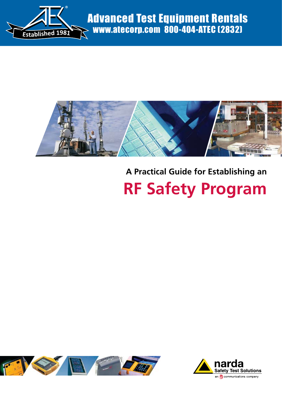



# **A Practical Guide for Establishing an RF Safety Program**



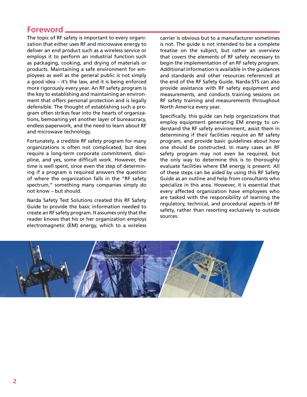# Foreword

The topic of RF safety is important to every organization that either uses RF and microwave energy to deliver an end product such as a wireless service or employs it to perform an industrial function such as packaging, cooking, and drying of materials or products. Maintaining a safe environment for employees as well as the general public is not simply a good idea – it's the law, and it is being enforced more rigorously every year. An RF safety program is the key to establishing and maintaining an environment that offers personal protection and is legally defensible. The thought of establishing such a program often strikes fear into the hearts of organizations, bemoaning yet another layer of bureaucracy, endless paperwork, and the need to learn about RF and microwave technology.

Fortunately, a credible RF safety program for many organizations is often not complicated, but does require a long-term corporate commitment, discipline, and yes, some difficult work. However, the time is well spent, since even the step of determining if a program is required answers the question of where the organization falls in the "RF safety spectrum," something many companies simply do not know – but should.

Narda Safety Test Solutions created this RF Safety Guide to provide the basic information needed to create an RF safety program. It assumes only that the reader knows that his or her organization employs electromagnetic (EM) energy, which to a wireless

carrier is obvious but to a manufacturer sometimes is not. The guide is not intended to be a complete treatise on the subject, but rather an overview that covers the elements of RF safety necessary to begin the implementation of an RF safety program. Additional information is available in the guidances and standards and other resources referenced at the end of the RF Safety Guide. Narda-STS can also provide assistance with RF safety equipment and measurements, and conducts training sessions on RF safety training and measurements throughout North America every year.

Specifically, this guide can help organizations that employ equipment generating EM energy to understand the RF safety environment, assist them in determining if their facilities require an RF safety program, and provide basic guidelines about how one should be constructed. In many cases an RF safety program may not even be required, but the only way to determine this is to thoroughly evaluate facilities where EM energy is present. All of these steps can be aided by using this RF Safety Guide as an outline and help from consultants who specialize in this area. However, it is essential that every affected organization have employees who are tasked with the responsibility of learning the regulatory, technical, and procedural aspects of RF safety, rather than resorting exclusively to outside sources.

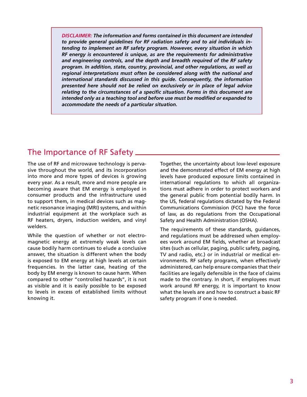*DISCLAIMER: The information and forms contained in this document are intended to provide general guidelines for RF radiation safety and to aid individuals intending to implement an RF safety program. However, every situation in which RF energy is encountered is unique, as are the requirements for administrative and engineering controls, and the depth and breadth required of the RF safety program. In addition, state, country, provincial, and other regulations, as well as regional interpretations must often be considered along with the national and international standards discussed in this guide. Consequently, the information presented here should not be relied on exclusively or in place of legal advice relating to the circumstances of a specific situation. Forms in this document are intended only as a teaching tool and before use must be modified or expanded to accommodate the needs of a particular situation.*

# The Importance of RF Safety

The use of RF and microwave technology is pervasive throughout the world, and its incorporation into more and more types of devices is growing every year. As a result, more and more people are becoming aware that EM energy is employed in consumer products and the infrastructure used to support them, in medical devices such as magnetic resonance imaging (MRI) systems, and within industrial equipment at the workplace such as RF heaters, dryers, induction welders, and vinyl welders.

While the question of whether or not electromagnetic energy at extremely weak levels can cause bodily harm continues to elude a conclusive answer, the situation is different when the body is exposed to EM energy at high levels at certain frequencies. In the latter case, heating of the body by EM energy is known to cause harm. When compared to other "controlled hazards", it is not as visible and it is easily possible to be exposed to levels in excess of established limits without knowing it.

Together, the uncertainty about low-level exposure and the demonstrated effect of EM energy at high levels have produced exposure limits contained in international regulations to which all organizations must adhere in order to protect workers and the general public from potential bodily harm. In the US, federal regulations dictated by the Federal Communications Commission (FCC) have the force of law, as do regulations from the Occupational Safety and Health Administration (OSHA).

The requirements of these standards, guidances, and regulations must be addressed when employees work around EM fields, whether at broadcast sites (such as cellular, paging, public safety, paging, TV and radio, etc.) or in industrial or medical environments. RF safety programs, when effectively administered, can help ensure companies that their facilities are legally defensible in the face of claims made to the contrary. In short, if employees must work around RF energy, it is important to know what the levels are and how to construct a basic RF safety program if one is needed.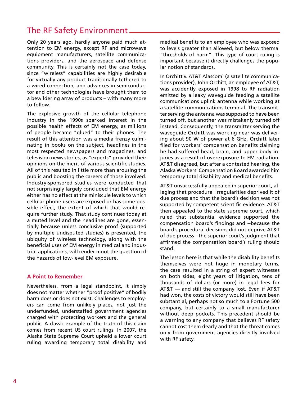# The RF Safety Environment

Only 20 years ago, hardly anyone paid much attention to EM energy, except RF and microwave equipment manufacturers, satellite communications providers, and the aerospace and defense community. This is certainly not the case today, since "wireless" capabilities are highly desirable for virtually any product traditionally tethered to a wired connection, and advances in semiconductor and other technologies have brought them to a bewildering array of products – with many more to follow.

The explosive growth of the cellular telephone industry in the 1990s sparked interest in the possible health effects of EM energy, as millions of people became "glued" to their phones. The result of this attention was a media frenzy culminating in books on the subject, headlines in the most respected newspapers and magazines, and television news stories, as "experts" provided their opinions on the merit of various scientific studies. All of this resulted in little more than arousing the public and boosting the careers of those involved. Industry-sponsored studies were conducted that not surprisingly largely concluded that EM energy either has no effect at the miniscule levels to which cellular phone users are exposed or has some possible effect, the extent of which that would require further study. That study continues today at a muted level and the headlines are gone, essentially because unless conclusive proof (supported by multiple undisputed studies) is presented, the ubiquity of wireless technology, along with the beneficial uses of EM energy in medical and industrial applications, will render moot the question of the hazards of low-level EM exposure.

#### **A Point to Remember**

Nevertheless, from a legal standpoint, it simply does not matter whether "proof positive" of bodily harm does or does not exist. Challenges to employers can come from unlikely places, not just the underfunded, understaffed government agencies charged with protecting workers and the general public. A classic example of the truth of this claim comes from recent US court rulings. In 2007, the Alaska State Supreme Court upheld a lower court ruling awarding temporary total disability and

medical benefits to an employee who was exposed to levels greater than allowed, but below thermal "thresholds of harm". This type of court ruling is important because it directly challenges the popular notion of standards.

In Orchitt v. AT&T Alascom<sup>1</sup> (a satellite communications provider), John Orchitt, an employee of AT&T, was accidently exposed in 1998 to RF radiation emitted by a leaky waveguide feeding a satellite communications uplink antenna while working at a satellite communications terminal. The transmitter serving the antenna was supposed to have been turned off, but another was mistakenly turned off instead. Consequently, the transmitter serving the waveguide Orchitt was working near was delivering about 90 W of power at 6 GHz. Orchitt later filed for workers' compensation benefits claiming he had suffered head, brain, and upper body injuries as a result of overexposure to EM radiation. AT&T disagreed, but after a contested hearing, the Alaska Workers' Compensation Board awarded him temporary total disability and medical benefits.

AT&T unsuccessfully appealed in superior court, alleging that procedural irregularities deprived it of due process and that the board's decision was not supported by competent scientific evidence. AT&T then appealed to the state supreme court, which ruled that substantial evidence supported the compensation board's findings and --because the board's procedural decisions did not deprive AT&T of due process --the superior court's judgment that affirmed the compensation board's ruling should stand.

The lesson here is that while the disability benefits themselves were not huge in monetary terms, the case resulted in a string of expert witnesses on both sides, eight years of litigation, tens of thousands of dollars (or more) in legal fees for AT&T — and still the company lost. Even if AT&T had won, the costs of victory would still have been substantial, perhaps not so much to a Fortune 500 company, but certainly to a small manufacturer without deep pockets. This precedent should be a warning to any company that believes RF safety cannot cost them dearly and that the threat comes only from government agencies directly involved with RF safety.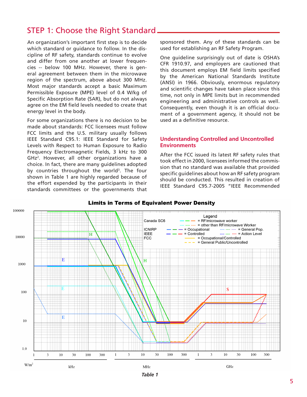# STEP 1: Choose the Right Standard

An organization's important first step is to decide which standard or guidance to follow. In the discipline of RF safety, standards continue to evolve and differ from one another at lower frequencies -- below 100 MHz. However, there is general agreement between them in the microwave region of the spectrum, above about 300 MHz. Most major standards accept a basic Maximum Permissible Exposure (MPE) level of 0.4 W/kg of Specific Absorption Rate (SAR), but do not always agree on the EM field levels needed to create that energy level in the body.

For some organizations there is no decision to be made about standards: FCC licensees must follow FCC limits and the U.S. military usually follows IEEE Standard C95.1: IEEE Standard for Safety Levels with Respect to Human Exposure to Radio Frequency Electromagnetic Fields, 3 kHz to 300 GHz2 . However, all other organizations have a choice. In fact, there are many guidelines adopted by countries throughout the world<sup>3</sup>. The four shown in Table 1 are highly regarded because of the effort expended by the participants in their standards committees or the governments that

sponsored them. Any of these standards can be used for establishing an RF Safety Program.

One guideline surprisingly out of date is OSHA's CFR 1910.97, and employers are cautioned that this document employs EM field limits specified by the American National Standards Institute (ANSI) in 1966. Obviously, enormous regulatory and scientific changes have taken place since this time, not only in MPE limits but in recommended engineering and administrative controls as well. Consequently, even though it is an official document of a government agency, it should not be used as a definitive resource.

#### **Understanding Controlled and Uncontrolled Environments**

After the FCC issued its latest RF safety rules that took effect in 2000, licensees informed the commission that no standard was available that provided specific guidelines about how an RF safety program should be conducted. This resulted in creation of IEEE Standard C95.7-2005 "IEEE Recommended



#### **Limits in Terms of Equivalent Power Density**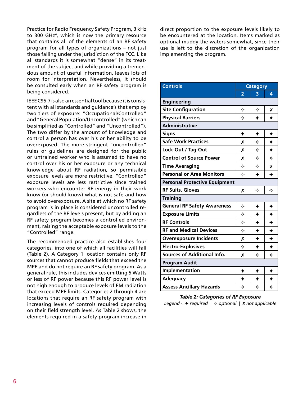Practice for Radio Frequency Safety Program, 3 kHz to 300 GHz4 , which is now the primary resource that contains all of the elements of an RF safety program for all types of organizations – not just those falling under the jurisdiction of the FCC. Like all standards it is somewhat "dense" in its treatment of the subject and while providing a tremendous amount of useful information, leaves lots of room for interpretation. Nevertheless, it should be consulted early when an RF safety program is being considered.

IEEE C95.7 is also an essential tool because it is consistent with all standards and guidance's that employ two tiers of exposure: "Occupational/Controlled" and "General Population/Uncontrolled" (which can be simplified as "Controlled" and "Uncontrolled"). The two differ by the amount of knowledge and control a person has over his or her ability to be overexposed. The more stringent "uncontrolled" rules or guidelines are designed for the public or untrained worker who is assumed to have no control over his or her exposure or any technical knowledge about RF radiation, so permissible exposure levels are more restrictive. "Controlled" exposure levels are less restrictive since trained workers who encounter RF energy in their work know (or should know) what is not safe and how to avoid overexposure. A site at which no RF safety program is in place is considered uncontrolled regardless of the RF levels present, but by adding an RF safety program becomes a controlled environment, raising the acceptable exposure levels to the "Controlled" range.

The recommended practice also establishes four categories, into one of which all facilities will fall (Table 2). A Category 1 location contains only RF sources that cannot produce fields that exceed the MPE and do not require an RF safety program. As a general rule, this includes devices emitting 5 Watts or less of RF power because this RF power level is not high enough to produce levels of EM radiation that exceed MPE limits. Categories 2 through 4 are locations that require an RF safety program with increasing levels of controls required depending on their field strength level. As Table 2 shows, the elements required in a safety program increase in direct proportion to the exposure levels likely to be encountered at the location. Items marked as optional muddy the waters somewhat, since their use is left to the discretion of the organization implementing the program.

| <b>Controls</b>                        | <b>Category</b> |             |                  |  |  |  |
|----------------------------------------|-----------------|-------------|------------------|--|--|--|
|                                        | $\overline{2}$  | 3           | 4                |  |  |  |
| <b>Engineering</b>                     |                 |             |                  |  |  |  |
| <b>Site Configuration</b>              | ❖               | ♦           | Х                |  |  |  |
| <b>Physical Barriers</b>               | ♦               |             |                  |  |  |  |
| <b>Administrative</b>                  |                 |             |                  |  |  |  |
| <b>Signs</b>                           | ✦               | ✦           | ✦                |  |  |  |
| <b>Safe Work Practices</b>             | Х               | ♦           | ♦                |  |  |  |
| Lock-Out / Tag-Out                     | Х               | ♦           | $\ddotmark$      |  |  |  |
| <b>Control of Source Power</b>         | Х               | ♦           | ♦                |  |  |  |
| <b>Time Averaging</b>                  | ♦               | ♦           | Х                |  |  |  |
| <b>Personal or Area Monitors</b>       | ❖               |             |                  |  |  |  |
| <b>Personal Protective Equipment</b>   |                 |             |                  |  |  |  |
| <b>RF Suits, Gloves</b><br>✧<br>♦<br>Х |                 |             |                  |  |  |  |
| <b>Training</b>                        |                 |             |                  |  |  |  |
| <b>General RF Safety Awareness</b>     | ❖               | ✦           | ✦                |  |  |  |
| <b>Exposure Limits</b>                 | ♦               |             | ✦                |  |  |  |
| <b>RF Controls</b>                     | ♦               |             | $\blacklozenge$  |  |  |  |
| <b>RF and Medical Devices</b>          | ♦               |             | $\ddot{\bullet}$ |  |  |  |
| <b>Overexposure Incidents</b>          | Х               | $\ddotmark$ | $\ddotmark$      |  |  |  |
| <b>Electro-Explosives</b>              | ♦               | ♦           | $\ddotmark$      |  |  |  |
| <b>Sources of Additional Info.</b>     | Х               | ♦           | ✧                |  |  |  |
| <b>Program Audit</b>                   |                 |             |                  |  |  |  |
| Implementation                         |                 |             | ✦                |  |  |  |
| <b>Adequacy</b>                        |                 |             |                  |  |  |  |
| <b>Assess Ancillary Hazards</b>        | ♦               | ♦           | ❖                |  |  |  |

### *Table 2: Categories of RF Exposure*

*Legend -* ✦ *required |* ✧ *optional |* ✗ *not applicable*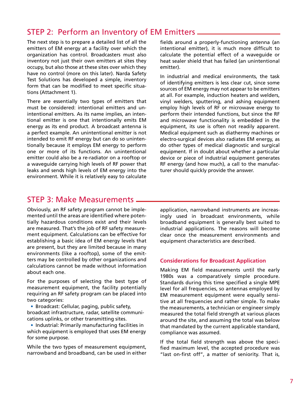# STEP 2: Perform an Inventory of EM Emitters  $\equiv$

The next step is to prepare a detailed list of all the emitters of EM energy at a facility over which the organization has control. Broadcasters must also inventory not just their own emitters at sites they occupy, but also those at these sites over which they have no control (more on this later). Narda Safety Test Solutions has developed a simple, inventory form that can be modified to meet specific situations (Attachment 1).

There are essentially two types of emitters that must be considered: intentional emitters and unintentional emitters. As its name implies, an intentional emitter is one that intentionally emits EM energy as its end product. A broadcast antenna is a perfect example. An unintentional emitter is not intended to emit RF energy but can do so unintentionally because it employs EM energy to perform one or more of its functions. An unintentional emitter could also be a re-radiator on a rooftop or a waveguide carrying high levels of RF power that leaks and sends high levels of EM energy into the environment. While it is relatively easy to calculate

fields around a properly-functioning antenna (an intentional emitter), it is much more difficult to calculate the potential effect of a waveguide or heat sealer shield that has failed (an unintentional emitter).

In industrial and medical environments, the task of identifying emitters is less clear cut, since some sources of EM energy may not appear to be emitters at all. For example, induction heaters and welders, vinyl welders, sputtering, and ashing equipment employ high levels of RF or microwave energy to perform their intended functions, but since the RF and microwave functionality is embedded in the equipment, its use is often not readily apparent. Medical equipment such as diathermy machines or electro-surgical devices also radiates EM energy, as do other types of medical diagnostic and surgical equipment. If in doubt about whether a particular device or piece of industrial equipment generates RF energy (and how much), a call to the manufacturer should quickly provide the answer.

# STEP 3: Make Measurements

Obviously, an RF safety program cannot be implemented until the areas are identified where potentially hazardous conditions exist and their levels are measured. That's the job of RF safety measurement equipment. Calculations can be effective for establishing a basic idea of EM energy levels that are present, but they are limited because in many environments (like a rooftop), some of the emitters may be controlled by other organizations and calculations cannot be made without information about each one.

For the purposes of selecting the best type of measurement equipment, the facility potentially requiring an RF safety program can be placed into two categories:

• Broadcast: Cellular, paging, public safety, broadcast infrastructure, radar, satellite communications uplinks, or other transmitting sites.

• Industrial: Primarily manufacturing facilities in which equipment is employed that uses EM energy for some purpose.

While the two types of measurement equipment, narrowband and broadband, can be used in either

application, narrowband instruments are increasingly used in broadcast environments, while broadband equipment is generally best suited to industrial applications. The reasons will become clear once the measurement environments and equipment characteristics are described.

#### **Considerations for Broadcast Application**

Making EM field measurements until the early 1980s was a comparatively simple procedure. Standards during this time specified a single MPE level for all frequencies, so antennas employed by EM measurement equipment were equally sensitive at all frequencies and rather simple. To make the measurements, a technician or engineer simply measured the total field strength at various places around the site, and assuming the total was below that mandated by the current applicable standard, compliance was assumed.

If the total field strength was above the specified maximum level, the accepted procedure was "last on-first off", a matter of seniority. That is,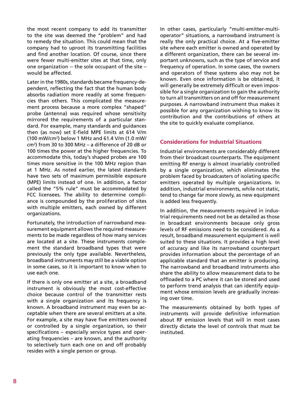the most recent company to add its transmitter to the site was deemed the "problem" and had to remedy the situation. This could mean that the company had to uproot its transmitting facilities and find another location. Of course, since there were fewer multi-emitter sites at that time, only one organization -- the sole occupant of the site – would be affected.

Later in the 1980s, standards became frequency-dependent, reflecting the fact that the human body absorbs radiation more readily at some frequencies than others. This complicated the measurement process because a more complex "shaped" probe (antenna) was required whose sensitivity mirrored the requirements of a particular standard. For example, many standards and guidances then (as now) set E-field MPE limits at 614 V/m (100 mW/cm2 ) below 1 MHz and 61.4 V/m (1.0 mW/ cm2 ) from 30 to 300 MHz – a difference of 20 dB or 100 times the power at the higher frequencies. To accommodate this, today's shaped probes are 100 times more sensitive in the 100 MHz region than at 1 MHz. As noted earlier, the latest standards have two sets of maximum permissible exposure (MPE) limits instead of one. In addition, a factor called the "5% rule" must be accommodated by FCC licensees. The ability to determine compliance is compounded by the proliferation of sites with multiple emitters, each owned by different organizations.

Fortunately, the introduction of narrowband measurement equipment allows the required measurements to be made regardless of how many services are located at a site. These instruments complement the standard broadband types that were previously the only type available. Nevertheless, broadband instruments may still be a viable option in some cases, so it is important to know when to use each one.

If there is only one emitter at a site, a broadband instrument is obviously the most cost-effective choice because control of the transmitter rests with a single organization and its frequency is known. A broadband instrument may even be acceptable when there are several emitters at a site. For example, a site may have five emitters owned or controlled by a single organization, so their specifications – especially service types and operating frequencies – are known, and the authority to selectively turn each one on and off probably resides with a single person or group.

In other cases, particularly "multi-emitter-multioperator" situations, a narrowband instrument is really the only practical choice. At a five-emitter site where each emitter is owned and operated by a different organization, there can be several important unknowns, such as the type of service and frequency of operation. In some cases, the owners and operators of these systems also may not be known. Even once information is be obtained, it will generally be extremely difficult or even impossible for a single organization to gain the authority to turn all transmitters on and off for measurement purposes. A narrowband instrument thus makes it possible for any organization wishing to know its contribution and the contributions of others at the site to quickly evaluate compliance.

#### **Considerations for Industrial Situations**

Industrial environments are considerably different from their broadcast counterparts. The equipment emitting RF energy is almost invariably controlled by a single organization, which eliminates the problem faced by broadcasters of isolating specific emitters operated by multiple organizations. In addition, industrial environments, while not static, tend to change far more slowly, as new equipment is added less frequently.

In addition, the measurements required in industrial requirements need not be as detailed as those in broadcast environments because only gross levels of RF emissions need to be considered. As a result, broadband measurement equipment is well suited to these situations. It provides a high level of accuracy and like its narrowband counterpart provides information about the percentage of an applicable standard that an emitter is producing. The narrowband and broadband instruments also share the ability to allow measurement data to be offloaded to a PC where it can be stored and used to perform trend analysis that can identify equipment whose emission levels are gradually increasing over time.

The measurements obtained by both types of instruments will provide definitive information about RF emission levels that will in most cases directly dictate the level of controls that must be instituted.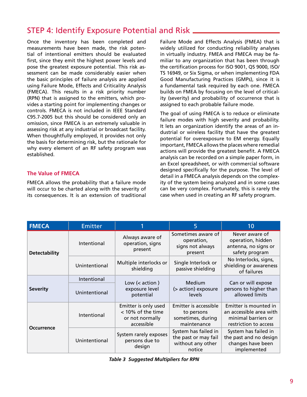# STEP 4: Identify Exposure Potential and Risk

Once the inventory has been completed and measurements have been made, the risk potential of intentional emitters should be evaluated first, since they emit the highest power levels and pose the greatest exposure potential. This risk assessment can be made considerably easier when the basic principles of failure analysis are applied using Failure Mode, Effects and Criticality Analysis (FMECA). This results in a risk priority number (RPN) that is assigned to the emitters, which provides a starting point for implementing changes or controls. FMECA is not included in IEEE Standard C95.7-2005 but this should be considered only an omission, since FMECA is an extremely valuable in assessing risk at any industrial or broadcast facility. When thoughtfully employed, it provides not only the basis for determining risk, but the rationale for why every element of an RF safety program was established.

### **The Value of FMECA**

FMECA allows the probability that a failure mode will occur to be charted along with the severity of its consequences. It is an extension of traditional

Failure Mode and Effects Analysis (FMEA) that is widely utilized for conducting reliability analyses in virtually industry. FMEA and FMECA may be familiar to any organization that has been through the certification process for ISO 9001, QS 9000, ISO/ TS 16949, or Six Sigma, or when implementing FDA Good Manufacturing Practices (GMPs), since it is a fundamental task required by each one. FMECA builds on FMEA by focusing on the level of criticality (severity) and probability of occurrence that is assigned to each probable failure mode.

The goal of using FMECA is to reduce or eliminate failure modes with high severity and probability. It lets an organization identify the areas of an industrial or wireless facility that have the greatest potential for overexposure to EM energy. Equally important, FMECA allows the places where remedial actions will provide the greatest benefit. A FMECA analysis can be recorded on a simple paper form, in an Excel spreadsheet, or with commercial software designed specifically for the purpose. The level of detail in a FMECA analysis depends on the complexity of the system being analyzed and in some cases can be very complex. Fortunately, this is rarely the case when used in creating an RF safety program.

| <b>FMECA</b>         | <b>Emitter</b> |                                                                            | 5                                                                           | 10                                                                                               |  |
|----------------------|----------------|----------------------------------------------------------------------------|-----------------------------------------------------------------------------|--------------------------------------------------------------------------------------------------|--|
| <b>Detectability</b> | Intentional    | Always aware of<br>operation, signs<br>present                             | Sometimes aware of<br>operation,<br>signs not always<br>present             | Never aware of<br>operation, hidden<br>antenna, no signs or<br>safety program                    |  |
|                      | Unintentional  | Multiple interlocks or<br>shielding                                        | Single Interlock or<br>passive shielding                                    | No Interlocks, signs,<br>shielding or awareness<br>of failures                                   |  |
|                      | Intentional    | Low $(2 action )$                                                          | Medium                                                                      | Can or will expose<br>persons to higher than<br>allowed limits                                   |  |
| <b>Severity</b>      | Unintentional  | exposure level<br>potential                                                | (> action) exposure<br>levels                                               |                                                                                                  |  |
| <b>Occurrence</b>    | Intentional    | Emitter is only used<br>< 10% of the time<br>or not normally<br>accessible | Emitter is accessible<br>to persons<br>sometimes, during<br>maintenance     | Emitter is mounted in<br>an accessible area with<br>minimal barriers or<br>restriction to access |  |
|                      | Unintentional  | System rarely exposes<br>persons due to<br>design                          | System has failed in<br>the past or may fail<br>without any other<br>notice | System has failed in<br>the past and no design<br>changes have been<br>implemented               |  |

*Table 3 Suggested Multipliers for RPN*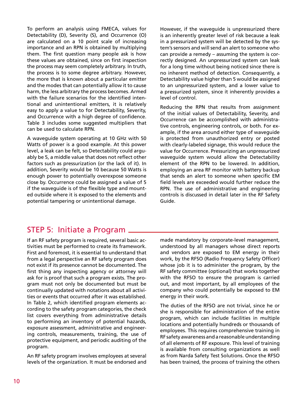To perform an analysis using FMECA, values for Detectability (D), Severity (S), and Occurrence (O) are calculated on a 10 point scale of increasing importance and an RPN is obtained by multiplying them. The first question many people ask is how these values are obtained, since on first inspection the process may seem completely arbitrary. In truth, the process is to some degree arbitrary. However, the more that is known about a particular emitter and the modes that can potentially allow it to cause harm, the less arbitrary the process becomes. Armed with the failure scenarios for the identified intentional and unintentional emitters, it is relatively easy to apply a value to for Detectability, Severity, and Occurrence with a high degree of confidence. Table 3 includes some suggested multipliers that can be used to calculate RPN.

A waveguide system operating at 10 GHz with 50 Watts of power is a good example. At this power level, a leak can be felt, so Detectability could arguably be 5, a middle value that does not reflect other factors such as pressurization (or the lack of it). In addition, Severity would be 10 because 50 Watts is enough power to potentially overexpose someone close by. Occurrence could be assigned a value of 5 if the waveguide is of the flexible type and mounted outside where it is exposed to the elements and potential tampering or unintentional damage.

However, if the waveguide is unpressurized there is an inherently greater level of risk because a leak in a pressurized system will be detected by the system's sensors and will send an alert to someone who can provide a remedy – assuming the system is correctly designed. An unpressurized system can leak for a long time without being noticed since there is no inherent method of detection. Consequently, a Detectability value higher than 5 would be assigned to an unpressurized system, and a lower value to a pressurized system, since it inherently provides a level of control.

Reducing the RPN that results from assignment of the initial values of Detectability, Severity, and Occurrence can be accomplished with administrative controls, engineering controls, or both. For example, if the area around either type of waveguide is protected from unauthorized entry or posted with clearly-labeled signage, this would reduce the value for Occurrence. Pressurizing an unpressurized waveguide system would allow the Detectability element of the RPN to be lowered. In addition, employing an area RF monitor with battery backup that sends an alert to someone when specific EM field levels are exceeded would further reduce the RPN. The use of administrative and engineering controls is discussed in detail later in the RF Safety Guide.

# STEP 5: Initiate a Program \_

If an RF safety program is required, several basic activities must be performed to create its framework. First and foremost, it is essential to understand that from a legal perspective an RF safety program does not exist if its presence cannot be documented. The first thing any inspecting agency or attorney will ask for is proof that such a program exists. The program must not only be documented but must be continually updated with notations about all activities or events that occurred after it was established. In Table 2, which identified program elements according to the safety program categories, the check list covers everything from administrative details to performing an inventory of potential hazards, exposure assessment, administrative and engineering controls, measurements, training, the use of protective equipment, and periodic auditing of the program.

An RF safety program involves employees at several levels of the organization. It must be endorsed and

made mandatory by corporate-level management, understood by all managers whose direct reports and vendors are exposed to EM energy in their work, by the RFSO (Radio Frequency Safety Officer) whose job it is to administer the program, by the RF safety committee (optional) that works together with the RFSO to ensure the program is carried out, and most important, by all employees of the company who could potentially be exposed to EM energy in their work.

The duties of the RFSO are not trivial, since he or she is responsible for administration of the entire program, which can include facilities in multiple locations and potentially hundreds or thousands of employees. This requires comprehensive training in RF safety awareness and a reasonable understanding of all elements of RF exposure. This level of training is available from consulting organizations as well as from Narda Safety Test Solutions. Once the RFSO has been trained, the process of training the others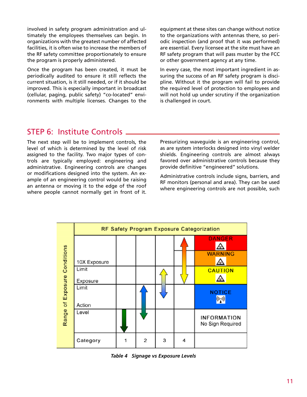involved in safety program administration and ultimately the employees themselves can begin. In organizations with the greatest number of affected facilities, it is often wise to increase the members of the RF safety committee proportionately to ensure the program is properly administered.

Once the program has been created, it must be periodically audited to ensure it still reflects the current situation, is it still needed, or if it should be improved. This is especially important in broadcast (cellular, paging, public safety) "co-located" environments with multiple licenses. Changes to the equipment at these sites can change without notice to the organizations with antennas there, so periodic inspection (and proof that it was performed) are essential. Every licensee at the site must have an RF safety program that will pass muster by the FCC or other government agency at any time.

In every case, the most important ingredient in assuring the success of an RF safety program is discipline. Without it the program will fail to provide the required level of protection to employees and will not hold up under scrutiny if the organization is challenged in court.

## STEP 6: Institute Controls

The next step will be to implement controls, the level of which is determined by the level of risk assigned to the facility. Two major types of controls are typically employed: engineering and administrative. Engineering controls are changes or modifications designed into the system. An example of an engineering control would be raising an antenna or moving it to the edge of the roof where people cannot normally get in front of it.

Pressurizing waveguide is an engineering control, as are system interlocks designed into vinyl welder shields. Engineering controls are almost always favored over administrative controls because they provide definitive "engineered" solutions.

Administrative controls include signs, barriers, and RF monitors (personal and area). They can be used where engineering controls are not possible, such



*Table 4 Signage vs Exposure Levels*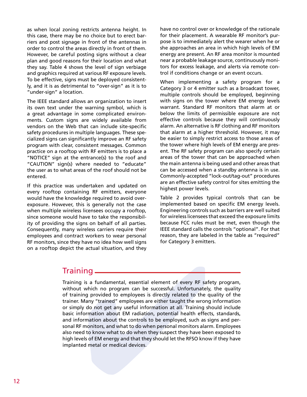as when local zoning restricts antenna height. In this case, there may be no choice but to erect barriers and post signage in front of the antennas in order to control the areas directly in front of them. However, be careful posting signs without a clear plan and good reasons for their location and what they say. Table 4 shows the level of sign verbiage and graphics required at various RF exposure levels. To be effective, signs must be deployed consistently, and it is as detrimental to "over-sign" as it is to "under-sign" a location.

The IEEE standard allows an organization to insert its own text under the warning symbol, which is a great advantage in some complicated environments. Custom signs are widely available from vendors on the Web that can include site-specific safety procedures in multiple languages. These specialized signs can significantly improve an RF safety program with clear, consistent messages. Common practice on a rooftop with RF emitters is to place a "NOTICE" sign at the entrance(s) to the roof and "CAUTION" sign(s) where needed to "educate" the user as to what areas of the roof should not be entered.

If this practice was undertaken and updated on every rooftop containing RF emitters, everyone would have the knowledge required to avoid overexposure. However, this is generally not the case when multiple wireless licensees occupy a rooftop, since someone would have to take the responsibility of providing the signs on behalf of all parties. Consequently, many wireless carriers require their employees and contract workers to wear personal RF monitors, since they have no idea how well signs on a rooftop depict the actual situation, and they

have no control over or knowledge of the rationale for their placement. A wearable RF monitor's purpose is to immediately alert the wearer when he or she approaches an area in which high levels of EM energy are present. An RF area monitor is mounted near a probable leakage source, continuously monitors for excess leakage, and alerts via remote control if conditions change or an event occurs.

When implementing a safety program for a Category 3 or 4 emitter such as a broadcast tower, multiple controls should be employed, beginning with signs on the tower where EM energy levels warrant. Standard RF monitors that alarm at or below the limits of permissible exposure are not effective controls because they will continuously alarm. An alternative is RF clothing and RF monitors that alarm at a higher threshold. However, it may be easier to simply restrict access to those areas of the tower where high levels of EM energy are present. The RF safety program can also specify certain areas of the tower that can be approached when the main antenna is being used and other areas that can be accessed when a standby antenna is in use. Commonly-accepted "lock-out/tag-out" procedures are an effective safety control for sites emitting the highest power levels.

Table 2 provides typical controls that can be implemented based on specific EM energy levels. Engineering controls such as barriers are well suited for wireless licensees that exceed the exposure limits because FCC rules must be met, even though the IEEE standard calls the controls "optional". For that reason, they are labeled in the table as "required" for Category 3 emitters.

# Training

ractual situation, and they<br> **ng**<br> **is a fundamental, essential element of every RF saft<br>
which no program can be successful. Unfortunately<br>
ya provided to employees is directly related to the q<br>** *Aany* **"trained" employees** Training is a fundamental, essential element of every RF safety program, without which no program can be successful. Unfortunately, the quality of training provided to employees is directly related to the quality of the trainer. Many "trained" employees are either taught the wrong information or simply do not get any useful information at all. Training should include basic information about EM radiation, potential health effects, standards, and information about the controls to be employed, such as signs and personal RF monitors, and what to do when personal monitors alarm. Employees also need to know what to do when they suspect they have been exposed to high levels of EM energy and that they should let the RFSO know if they have implanted metal or medical devices.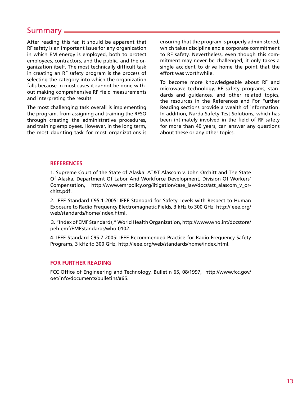# Summary

After reading this far, it should be apparent that RF safety is an important issue for any organization in which EM energy is employed, both to protect employees, contractors, and the public, and the organization itself. The most technically difficult task in creating an RF safety program is the process of selecting the category into which the organization falls because in most cases it cannot be done without making comprehensive RF field measurements and interpreting the results.

The most challenging task overall is implementing the program, from assigning and training the RFSO through creating the administrative procedures, and training employees. However, in the long term, the most daunting task for most organizations is

ensuring that the program is properly administered, which takes discipline and a corporate commitment to RF safety. Nevertheless, even though this commitment may never be challenged, it only takes a single accident to drive home the point that the effort was worthwhile.

To become more knowledgeable about RF and microwave technology, RF safety programs, standards and guidances, and other related topics, the resources in the References and For Further Reading sections provide a wealth of information. In addition, Narda Safety Test Solutions, which has been intimately involved in the field of RF safety for more than 40 years, can answer any questions about these or any other topics.

#### **REFERENCES**

1. Supreme Court of the State of Alaska: AT&T Alascom v. John Orchitt and The State Of Alaska, Department Of Labor And Workforce Development, Division Of Workers' Compensation, http://www.emrpolicy.org/litigation/case\_law/docs/att\_alascom\_v\_orchitt.pdf.

2. IEEE Standard C95.1-2005: IEEE Standard for Safety Levels with Respect to Human Exposure to Radio Frequency Electromagnetic Fields, 3 kHz to 300 GHz, http://ieee.org/ web/standards/home/index.html.

 3. "Index of EMF Standards," World Health Organization, http://www.who.int/docstore/ peh-emf/EMFStandards/who-0102.

4. IEEE Standard C95.7-2005: IEEE Recommended Practice for Radio Frequency Safety Programs, 3 kHz to 300 GHz, http://ieee.org/web/standards/home/index.html.

#### **FOR FURTHER READING**

FCC Office of Engineering and Technology, Bulletin 65, 08/1997, http://www.fcc.gov/ oet/info/documents/bulletins/#65.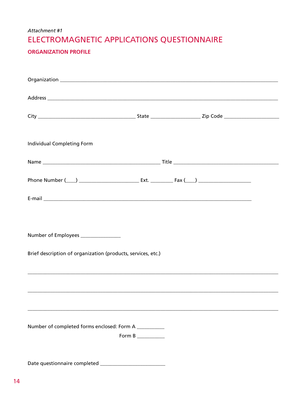# Attachment #1 ELECTROMAGNETIC APPLICATIONS QUESTIONNAIRE

### **ORGANIZATION PROFILE**

| Individual Completing Form                                   |                                 |                                                                                                                       |  |  |  |
|--------------------------------------------------------------|---------------------------------|-----------------------------------------------------------------------------------------------------------------------|--|--|--|
|                                                              |                                 |                                                                                                                       |  |  |  |
|                                                              |                                 |                                                                                                                       |  |  |  |
|                                                              |                                 |                                                                                                                       |  |  |  |
| Number of Employees _______________                          |                                 |                                                                                                                       |  |  |  |
| Brief description of organization (products, services, etc.) |                                 |                                                                                                                       |  |  |  |
|                                                              |                                 | <u> 1989 - Johann Stoff, deutscher Stoff, der Stoff, der Stoff, der Stoff, der Stoff, der Stoff, der Stoff, der S</u> |  |  |  |
|                                                              |                                 |                                                                                                                       |  |  |  |
| Number of completed forms enclosed: Form A __________        |                                 |                                                                                                                       |  |  |  |
|                                                              | Form B $\_\_\_\_\_\_\_\_\_\_\_$ |                                                                                                                       |  |  |  |
|                                                              |                                 |                                                                                                                       |  |  |  |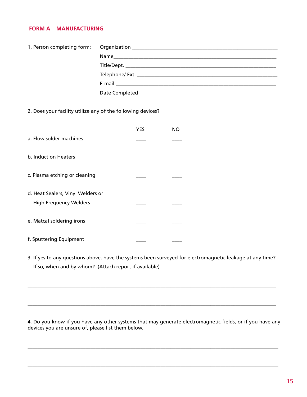#### **FORM A MANUFACTURING**

2. Does your facility utilize any of the following devices?

|                                   | YES | NΟ |
|-----------------------------------|-----|----|
| a. Flow solder machines           |     |    |
| b. Induction Heaters              |     |    |
| c. Plasma etching or cleaning     |     |    |
| d. Heat Sealers, Vinyl Welders or |     |    |
| <b>High Frequency Welders</b>     |     |    |
| e. Matcal soldering irons         |     |    |
| f. Sputtering Equipment           |     |    |

3. If yes to any questions above, have the systems been surveyed for electromagnetic leakage at any time? If so, when and by whom? (Attach report if available)

\_\_\_\_\_\_\_\_\_\_\_\_\_\_\_\_\_\_\_\_\_\_\_\_\_\_\_\_\_\_\_\_\_\_\_\_\_\_\_\_\_\_\_\_\_\_\_\_\_\_\_\_\_\_\_\_\_\_\_\_\_\_\_\_\_\_\_\_\_\_\_\_\_\_\_\_\_\_\_\_\_\_\_\_\_\_\_\_\_\_\_\_\_\_\_\_\_\_\_

\_\_\_\_\_\_\_\_\_\_\_\_\_\_\_\_\_\_\_\_\_\_\_\_\_\_\_\_\_\_\_\_\_\_\_\_\_\_\_\_\_\_\_\_\_\_\_\_\_\_\_\_\_\_\_\_\_\_\_\_\_\_\_\_\_\_\_\_\_\_\_\_\_\_\_\_\_\_\_\_\_\_\_\_\_\_\_\_\_\_\_\_\_\_\_\_\_\_\_

4. Do you know if you have any other systems that may generate electromagnetic fields, or if you have any devices you are unsure of, please list them below.

\_\_\_\_\_\_\_\_\_\_\_\_\_\_\_\_\_\_\_\_\_\_\_\_\_\_\_\_\_\_\_\_\_\_\_\_\_\_\_\_\_\_\_\_\_\_\_\_\_\_\_\_\_\_\_\_\_\_\_\_\_\_\_\_\_\_\_\_\_\_\_\_\_\_\_\_\_\_\_\_\_\_\_\_\_\_\_\_\_\_\_\_\_\_\_\_\_\_\_\_

\_\_\_\_\_\_\_\_\_\_\_\_\_\_\_\_\_\_\_\_\_\_\_\_\_\_\_\_\_\_\_\_\_\_\_\_\_\_\_\_\_\_\_\_\_\_\_\_\_\_\_\_\_\_\_\_\_\_\_\_\_\_\_\_\_\_\_\_\_\_\_\_\_\_\_\_\_\_\_\_\_\_\_\_\_\_\_\_\_\_\_\_\_\_\_\_\_\_\_\_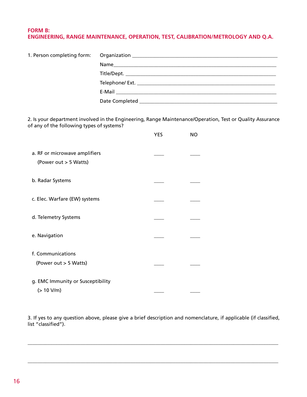### **FORM B: ENGINEERING, RANGE MAINTENANCE, OPERATION, TEST, CALIBRATION/METROLOGY AND Q.A.**

| 1. Person completing form:                                                                                                                             |  |            |           |  |  |
|--------------------------------------------------------------------------------------------------------------------------------------------------------|--|------------|-----------|--|--|
|                                                                                                                                                        |  |            |           |  |  |
|                                                                                                                                                        |  |            |           |  |  |
|                                                                                                                                                        |  |            |           |  |  |
|                                                                                                                                                        |  |            |           |  |  |
|                                                                                                                                                        |  |            |           |  |  |
|                                                                                                                                                        |  |            |           |  |  |
| 2. Is your department involved in the Engineering, Range Maintenance/Operation, Test or Quality Assurance<br>of any of the following types of systems? |  |            |           |  |  |
|                                                                                                                                                        |  | <b>YES</b> | <b>NO</b> |  |  |
| a. RF or microwave amplifiers                                                                                                                          |  |            |           |  |  |
|                                                                                                                                                        |  |            |           |  |  |

| (Power out > 5 Watts)                      |  |
|--------------------------------------------|--|
| b. Radar Systems                           |  |
| c. Elec. Warfare (EW) systems              |  |
| d. Telemetry Systems                       |  |
| e. Navigation                              |  |
| f. Communications<br>(Power out > 5 Watts) |  |
| g. EMC Immunity or Susceptibility          |  |

 $(> 10 \text{ V/m})$ 

3. If yes to any question above, please give a brief description and nomenclature, if applicable (if classified, list "classified").

\_\_\_\_\_\_\_\_\_\_\_\_\_\_\_\_\_\_\_\_\_\_\_\_\_\_\_\_\_\_\_\_\_\_\_\_\_\_\_\_\_\_\_\_\_\_\_\_\_\_\_\_\_\_\_\_\_\_\_\_\_\_\_\_\_\_\_\_\_\_\_\_\_\_\_\_\_\_\_\_\_\_\_\_\_\_\_\_\_\_\_\_\_\_\_\_\_\_\_\_

\_\_\_\_\_\_\_\_\_\_\_\_\_\_\_\_\_\_\_\_\_\_\_\_\_\_\_\_\_\_\_\_\_\_\_\_\_\_\_\_\_\_\_\_\_\_\_\_\_\_\_\_\_\_\_\_\_\_\_\_\_\_\_\_\_\_\_\_\_\_\_\_\_\_\_\_\_\_\_\_\_\_\_\_\_\_\_\_\_\_\_\_\_\_\_\_\_\_\_\_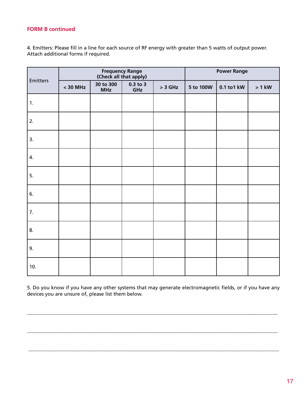### **FORM B continued**

4. Emitters: Please fill in a line for each source of RF energy with greater than 5 watts of output power. Attach additional forms if required.

| Emitters | Frequency Range<br>(Check all that apply) |                         |                     | <b>Power Range</b> |           |             |          |
|----------|-------------------------------------------|-------------------------|---------------------|--------------------|-----------|-------------|----------|
|          | $<$ 30 MHz                                | 30 to 300<br><b>MHz</b> | $0.3$ to $3$<br>GHz | $>$ 3 GHz          | 5 to 100W | 0.1 to 1 kW | $> 1$ kW |
| 1.       |                                           |                         |                     |                    |           |             |          |
| 2.       |                                           |                         |                     |                    |           |             |          |
| 3.       |                                           |                         |                     |                    |           |             |          |
| 4.       |                                           |                         |                     |                    |           |             |          |
| 5.       |                                           |                         |                     |                    |           |             |          |
| 6.       |                                           |                         |                     |                    |           |             |          |
| 7.       |                                           |                         |                     |                    |           |             |          |
| 8.       |                                           |                         |                     |                    |           |             |          |
| 9.       |                                           |                         |                     |                    |           |             |          |
| 10.      |                                           |                         |                     |                    |           |             |          |

5. Do you know if you have any other systems that may generate electromagnetic fields, or if you have any devices you are unsure of, please list them below.

\_\_\_\_\_\_\_\_\_\_\_\_\_\_\_\_\_\_\_\_\_\_\_\_\_\_\_\_\_\_\_\_\_\_\_\_\_\_\_\_\_\_\_\_\_\_\_\_\_\_\_\_\_\_\_\_\_\_\_\_\_\_\_\_\_\_\_\_\_\_\_\_\_\_\_\_\_\_\_\_\_\_\_\_\_\_\_\_\_\_\_\_\_\_\_\_\_\_\_\_

\_\_\_\_\_\_\_\_\_\_\_\_\_\_\_\_\_\_\_\_\_\_\_\_\_\_\_\_\_\_\_\_\_\_\_\_\_\_\_\_\_\_\_\_\_\_\_\_\_\_\_\_\_\_\_\_\_\_\_\_\_\_\_\_\_\_\_\_\_\_\_\_\_\_\_\_\_\_\_\_\_\_\_\_\_\_\_\_\_\_\_\_\_\_\_\_\_\_\_\_

\_\_\_\_\_\_\_\_\_\_\_\_\_\_\_\_\_\_\_\_\_\_\_\_\_\_\_\_\_\_\_\_\_\_\_\_\_\_\_\_\_\_\_\_\_\_\_\_\_\_\_\_\_\_\_\_\_\_\_\_\_\_\_\_\_\_\_\_\_\_\_\_\_\_\_\_\_\_\_\_\_\_\_\_\_\_\_\_\_\_\_\_\_\_\_\_\_\_\_\_